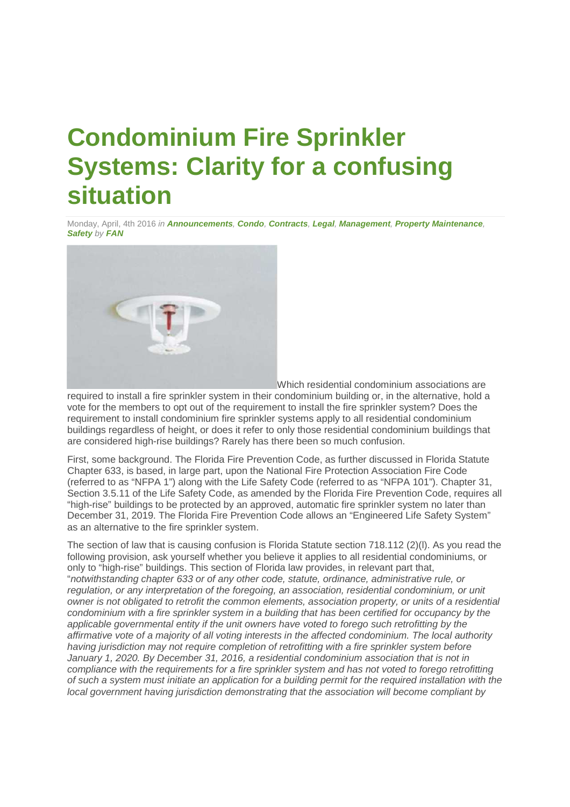## **Condominium Fire Sprinkler Systems: Clarity for a confusing situation**

Monday, April, 4th 2016 *in Announcements, Condo, Contracts, Legal, Management, Property Maintenance, Safety by FAN*



Which residential condominium associations are

required to install a fire sprinkler system in their condominium building or, in the alternative, hold a vote for the members to opt out of the requirement to install the fire sprinkler system? Does the requirement to install condominium fire sprinkler systems apply to all residential condominium buildings regardless of height, or does it refer to only those residential condominium buildings that are considered high-rise buildings? Rarely has there been so much confusion.

First, some background. The Florida Fire Prevention Code, as further discussed in Florida Statute Chapter 633, is based, in large part, upon the National Fire Protection Association Fire Code (referred to as "NFPA 1") along with the Life Safety Code (referred to as "NFPA 101"). Chapter 31, Section 3.5.11 of the Life Safety Code, as amended by the Florida Fire Prevention Code, requires all "high-rise" buildings to be protected by an approved, automatic fire sprinkler system no later than December 31, 2019. The Florida Fire Prevention Code allows an "Engineered Life Safety System" as an alternative to the fire sprinkler system.

The section of law that is causing confusion is Florida Statute section 718.112 (2)(l). As you read the following provision, ask yourself whether you believe it applies to all residential condominiums, or only to "high-rise" buildings. This section of Florida law provides, in relevant part that, "*notwithstanding chapter 633 or of any other code, statute, ordinance, administrative rule, or regulation, or any interpretation of the foregoing, an association, residential condominium, or unit owner is not obligated to retrofit the common elements, association property, or units of a residential condominium with a fire sprinkler system in a building that has been certified for occupancy by the applicable governmental entity if the unit owners have voted to forego such retrofitting by the affirmative vote of a majority of all voting interests in the affected condominium. The local authority having jurisdiction may not require completion of retrofitting with a fire sprinkler system before January 1, 2020. By December 31, 2016, a residential condominium association that is not in compliance with the requirements for a fire sprinkler system and has not voted to forego retrofitting of such a system must initiate an application for a building permit for the required installation with the local government having jurisdiction demonstrating that the association will become compliant by*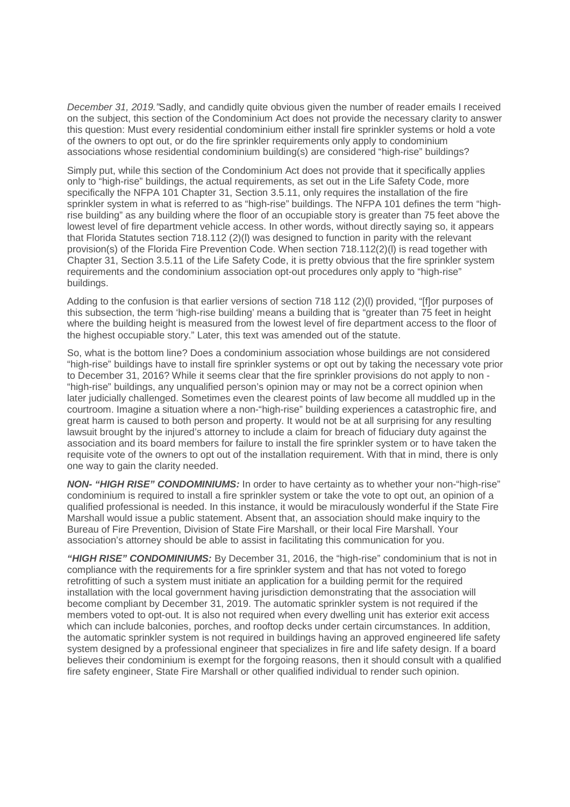*December 31, 2019."*Sadly, and candidly quite obvious given the number of reader emails I received on the subject, this section of the Condominium Act does not provide the necessary clarity to answer this question: Must every residential condominium either install fire sprinkler systems or hold a vote of the owners to opt out, or do the fire sprinkler requirements only apply to condominium associations whose residential condominium building(s) are considered "high-rise" buildings?

Simply put, while this section of the Condominium Act does not provide that it specifically applies only to "high-rise" buildings, the actual requirements, as set out in the Life Safety Code, more specifically the NFPA 101 Chapter 31, Section 3.5.11, only requires the installation of the fire sprinkler system in what is referred to as "high-rise" buildings. The NFPA 101 defines the term "highrise building" as any building where the floor of an occupiable story is greater than 75 feet above the lowest level of fire department vehicle access. In other words, without directly saying so, it appears that Florida Statutes section 718.112 (2)(l) was designed to function in parity with the relevant provision(s) of the Florida Fire Prevention Code. When section 718.112(2)(l) is read together with Chapter 31, Section 3.5.11 of the Life Safety Code, it is pretty obvious that the fire sprinkler system requirements and the condominium association opt-out procedures only apply to "high-rise" buildings.

Adding to the confusion is that earlier versions of section 718 112 (2)(l) provided, "[f]or purposes of this subsection, the term 'high-rise building' means a building that is "greater than 75 feet in height where the building height is measured from the lowest level of fire department access to the floor of the highest occupiable story." Later, this text was amended out of the statute.

So, what is the bottom line? Does a condominium association whose buildings are not considered "high-rise" buildings have to install fire sprinkler systems or opt out by taking the necessary vote prior to December 31, 2016? While it seems clear that the fire sprinkler provisions do not apply to non - "high-rise" buildings, any unqualified person's opinion may or may not be a correct opinion when later judicially challenged. Sometimes even the clearest points of law become all muddled up in the courtroom. Imagine a situation where a non-"high-rise" building experiences a catastrophic fire, and great harm is caused to both person and property. It would not be at all surprising for any resulting lawsuit brought by the injured's attorney to include a claim for breach of fiduciary duty against the association and its board members for failure to install the fire sprinkler system or to have taken the requisite vote of the owners to opt out of the installation requirement. With that in mind, there is only one way to gain the clarity needed.

*NON- "HIGH RISE" CONDOMINIUMS:* In order to have certainty as to whether your non-"high-rise" condominium is required to install a fire sprinkler system or take the vote to opt out, an opinion of a qualified professional is needed. In this instance, it would be miraculously wonderful if the State Fire Marshall would issue a public statement. Absent that, an association should make inquiry to the Bureau of Fire Prevention, Division of State Fire Marshall, or their local Fire Marshall. Your association's attorney should be able to assist in facilitating this communication for you.

*"HIGH RISE" CONDOMINIUMS:* By December 31, 2016, the "high-rise" condominium that is not in compliance with the requirements for a fire sprinkler system and that has not voted to forego retrofitting of such a system must initiate an application for a building permit for the required installation with the local government having jurisdiction demonstrating that the association will become compliant by December 31, 2019. The automatic sprinkler system is not required if the members voted to opt-out. It is also not required when every dwelling unit has exterior exit access which can include balconies, porches, and rooftop decks under certain circumstances. In addition, the automatic sprinkler system is not required in buildings having an approved engineered life safety system designed by a professional engineer that specializes in fire and life safety design. If a board believes their condominium is exempt for the forgoing reasons, then it should consult with a qualified fire safety engineer, State Fire Marshall or other qualified individual to render such opinion.